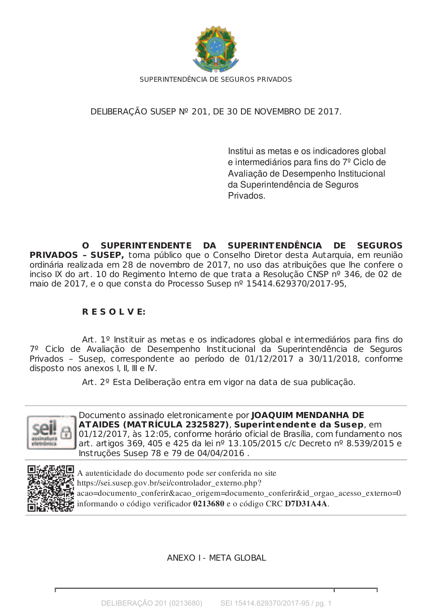

DELIBERAÇÃO SUSEP Nº 201, DE 30 DE NOVEMBRO DE 2017.

Institui as metas e os indicadores global e intermediários para fins do 7<sup>º</sup> Ciclo de Avaliação de Desempenho Institucional da Superintendência de Seguros Privados.

**SUPERINTENDENTE DA SUPERINT ENDÊNCIA DE SEGUROS** n. **PRIVADOS - SUSEP,** torna público que o Conselho Diretor desta Autarquia, em reunião ordinária realizada em 28 de novembro de 2017, no uso das atribuições que lhe confere o inciso IX do art. 10 do Regimento Interno de que trata a Resolução CNSP nº 346, de 02 de maio de 2017, e o que consta do Processo Susep nº 15414.629370/2017-95,

## **RESOLVE:**

Art. 1º Instituir as metas e os indicadores global e intermediários para fins do 7º Ciclo de Avaliação de Desempenho Institucional da Superintendência de Seguros Privados - Susep, correspondente ao período de 01/12/2017 a 30/11/2018, conforme disposto nos anexos I, II, III e IV.

Art. 2º Esta Deliberação entra em vigor na data de sua publicação.



Documento assinado eletronicamente por JOAQUIM MENDANHA DE ATAIDES (MATRÍCULA 2325827), Superintendente da Susep, em 01/12/2017, às 12:05, conforme horário oficial de Brasília, com fundamento nos art. artigos 369, 405 e 425 da lei nº 13.105/2015 c/c Decreto nº 8.539/2015 e Instruções Susep 78 e 79 de 04/04/2016.



A autenticidade do documento pode ser conferida no site https://sei.susep.gov.br/sei/controlador externo.php? acao=documento conferir&acao origem=documento conferir&id orgao acesso externo=0 informando o código verificador 0213680 e o código CRC D7D31A4A.

**ANEXO I - META GLOBAL**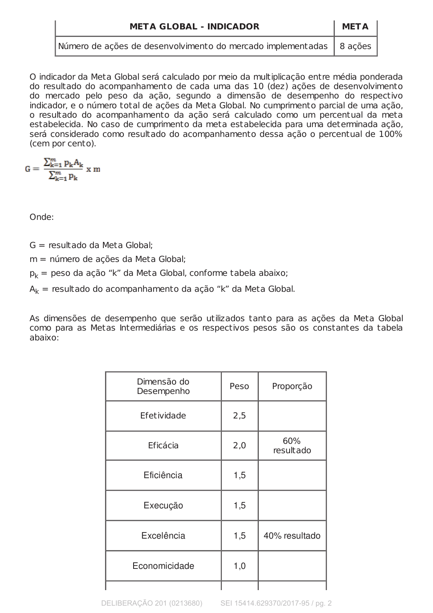| <b>META GLOBAL - INDICADOR</b>                                        |  |
|-----------------------------------------------------------------------|--|
| Número de ações de desenvolvimento do mercado implementadas   8 ações |  |

O indicador da Meta Global será calculado por meio da multiplicação entre média ponderada do resultado do acompanhamento de cada uma das 10 (dez) ações de desenvolvimento do mercado pelo peso da ação, segundo a dimensão de desempenho do respectivo indicador, e o número total de ações da Meta Global. No cumprimento parcial de uma ação, o resultado do acompanhamento da ação será calculado como um percentual da meta estabelecida. No caso de cumprimento da meta estabelecida para uma determinada ação, será considerado como resultado do acompanhamento dessa ação o percentual de 100% (cem por cento).

 $G = \frac{\sum_{k=1}^{m} p_k A_k}{\sum_{k=1}^{m} p_k} x m$ 

Onde<sup>.</sup>

 $G =$  resultado da Meta Global:

 $m = n$ úmero de ações da Meta Global:

 $p_k$  = peso da ação "k" da Meta Global, conforme tabela abaixo;

 $A_k$  = resultado do acompanhamento da ação "k" da Meta Global.

As dimensões de desempenho que serão utilizados tanto para as ações da Meta Global como para as Metas Intermediárias e os respectivos pesos são os constantes da tabela abaixo:

| Dimensão do<br>Desempenho | Peso | Proporção        |
|---------------------------|------|------------------|
| Efetividade               | 2,5  |                  |
| Eficácia                  | 2,0  | 60%<br>resultado |
| Eficiência                | 1,5  |                  |
| Execução                  | 1,5  |                  |
| Excelência                | 1,5  | 40% resultado    |
| Economicidade             | 1,0  |                  |
|                           |      |                  |

DELIBERAÇÃO 201 (0213680) SEI 15414.629370/2017-95 / pg. 2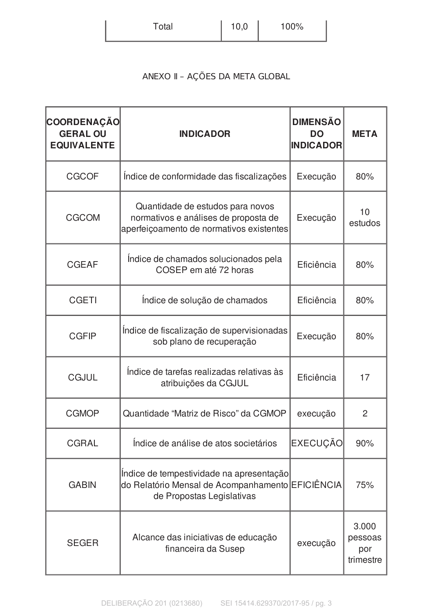| Total | $10,0$ | 100% |
|-------|--------|------|
|       |        |      |

## ANEXO II - AÇÕES DA META GLOBAL

| <b>COORDENAÇÃO</b><br><b>GERAL OU</b><br><b>EQUIVALENTE</b> | <b>INDICADOR</b>                                                                                                          | <b>DIMENSÃO</b><br><b>DO</b><br><b>INDICADOR</b> | <b>META</b>                          |
|-------------------------------------------------------------|---------------------------------------------------------------------------------------------------------------------------|--------------------------------------------------|--------------------------------------|
| <b>CGCOF</b>                                                | Indice de conformidade das fiscalizações                                                                                  | Execução                                         | 80%                                  |
| <b>CGCOM</b>                                                | Quantidade de estudos para novos<br>normativos e análises de proposta de<br>aperfeiçoamento de normativos existentes      | Execução                                         | 10<br>estudos                        |
| <b>CGEAF</b>                                                | Indice de chamados solucionados pela<br>COSEP em até 72 horas                                                             | Eficiência                                       | 80%                                  |
| <b>CGETI</b>                                                | Indice de solução de chamados                                                                                             | Eficiência                                       | 80%                                  |
| <b>CGFIP</b>                                                | Indice de fiscalização de supervisionadas<br>sob plano de recuperação                                                     | Execução                                         | 80%                                  |
| <b>CGJUL</b>                                                | Indice de tarefas realizadas relativas às<br>atribuições da CGJUL                                                         | Eficiência                                       | 17                                   |
| <b>CGMOP</b>                                                | Quantidade "Matriz de Risco" da CGMOP                                                                                     | execução                                         | $\overline{2}$                       |
| <b>CGRAL</b>                                                | Indice de análise de atos societários                                                                                     | <b>EXECUÇÃO</b>                                  | 90%                                  |
| <b>GABIN</b>                                                | Indice de tempestividade na apresentação<br>do Relatório Mensal de Acompanhamento EFICIÊNCIA<br>de Propostas Legislativas |                                                  | 75%                                  |
| <b>SEGER</b>                                                | Alcance das iniciativas de educação<br>financeira da Susep                                                                | execução                                         | 3.000<br>pessoas<br>por<br>trimestre |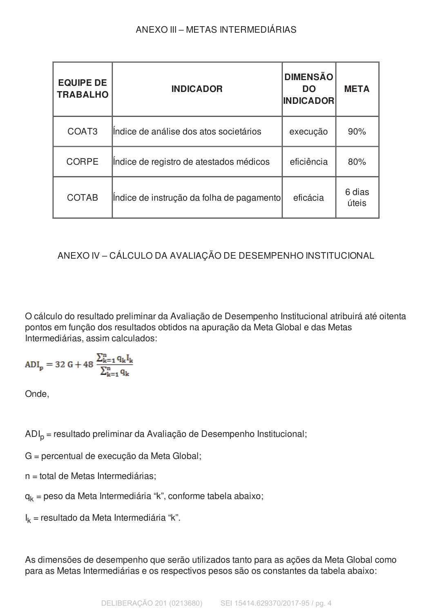| <b>EQUIPE DE</b><br><b>TRABALHO</b> | <b>INDICADOR</b>                          | <b>DIMENSÃO</b><br><b>DO</b><br><b>INDICADOR</b> | <b>META</b>     |
|-------------------------------------|-------------------------------------------|--------------------------------------------------|-----------------|
| COAT <sub>3</sub>                   | lindice de análise dos atos societários   | execução                                         | 90%             |
| <b>CORPE</b>                        | Indice de registro de atestados médicos   | eficiência                                       | 80%             |
| <b>COTAB</b>                        | Indice de instrução da folha de pagamento | eficácia                                         | 6 dias<br>úteis |

## ANEXO IV - CÁLCULO DA AVALIAÇÃO DE DESEMPENHO INSTITUCIONAL

O cálculo do resultado preliminar da Avaliação de Desempenho Institucional atribuirá até oitenta pontos em função dos resultados obtidos na apuração da Meta Global e das Metas Intermediárias, assim calculados:

$$
ADI_p = 32\ G + 48\ \frac{\Sigma_{k=1}^n\,q_kI_k}{\Sigma_{k=1}^n\,q_k}
$$

Onde,

ADI<sub>p</sub> = resultado preliminar da Avaliação de Desempenho Institucional;

G = percentual de execução da Meta Global;

n = total de Metas Intermediárias;

 $q_k$  = peso da Meta Intermediária "k", conforme tabela abaixo;

 $I_k$  = resultado da Meta Intermediária "k".

As dimensões de desempenho que serão utilizados tanto para as ações da Meta Global como para as Metas Intermediárias e os respectivos pesos são os constantes da tabela abaixo: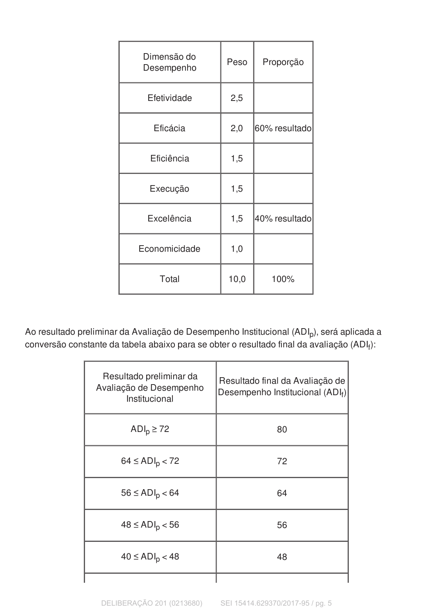| Dimensão do<br>Desempenho | Peso | Proporção     |
|---------------------------|------|---------------|
| Efetividade               | 2,5  |               |
| Eficácia                  | 2,0  | 60% resultado |
| Eficiência                | 1,5  |               |
| Execução                  | 1,5  |               |
| Excelência                | 1,5  | 40% resultado |
| Economicidade             | 1,0  |               |
| Total                     | 10,0 | 100%          |

Ao resultado preliminar da Avaliação de Desempenho Institucional (ADI<sub>p</sub>), será aplicada a conversão constante da tabela abaixo para se obter o resultado final da avaliação (ADIf):

| Resultado preliminar da<br>Avaliação de Desempenho<br>Institucional | Resultado final da Avaliação de<br>Desempenho Institucional $(ADI_f)$ |
|---------------------------------------------------------------------|-----------------------------------------------------------------------|
| $ADIp \ge 72$                                                       | 80                                                                    |
| $64 \le ADI_{p}$ < 72                                               | 72                                                                    |
| $56 \le ADI_{p} < 64$                                               | 64                                                                    |
| $48 \le ADI_{p} < 56$                                               | 56                                                                    |
| $40 \leq ADI_p$ < 48                                                | 48                                                                    |
|                                                                     |                                                                       |